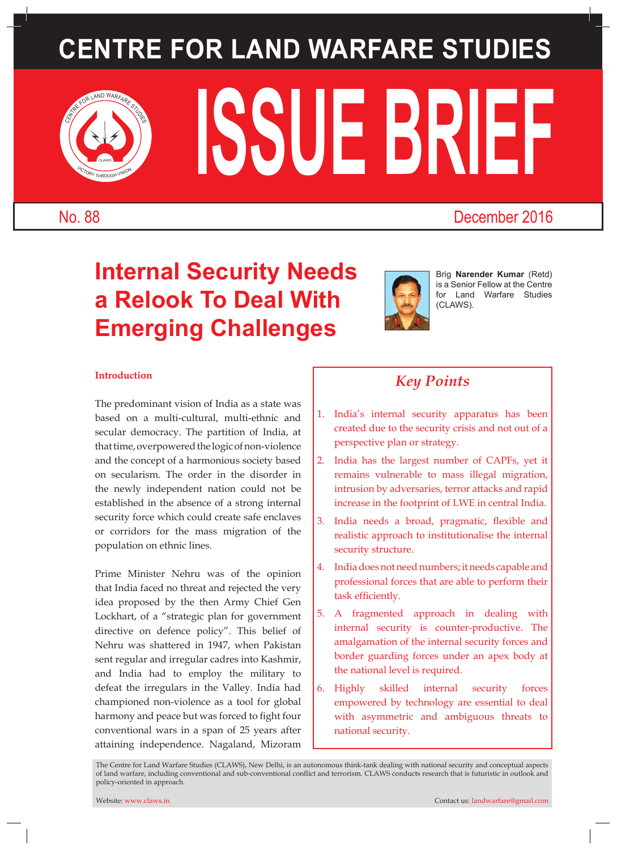# **CENTRE FOR LAND WARFARE STUDIES**



# **ISSUE BRIEF**

### No. 88 December 2016

## **Internal Security Needs a Relook To Deal With Emerging Challenges**



Brig **Narender Kumar** (Retd) is a Senior Fellow at the Centre for Land Warfare Studies (CLAWS).

#### **Introduction**

The predominant vision of India as a state was based on a multi-cultural, multi-ethnic and secular democracy. The partition of India, at that time, overpowered the logic of non-violence and the concept of a harmonious society based on secularism. The order in the disorder in the newly independent nation could not be established in the absence of a strong internal security force which could create safe enclaves or corridors for the mass migration of the population on ethnic lines.

Prime Minister Nehru was of the opinion that India faced no threat and rejected the very idea proposed by the then Army Chief Gen Lockhart, of a "strategic plan for government directive on defence policy". This belief of Nehru was shattered in 1947, when Pakistan sent regular and irregular cadres into Kashmir, and India had to employ the military to defeat the irregulars in the Valley. India had championed non-violence as a tool for global harmony and peace but was forced to fight four conventional wars in a span of 25 years after attaining independence. Nagaland, Mizoram

## *Key Points*

- 1. India's internal security apparatus has been created due to the security crisis and not out of a perspective plan or strategy.
- 2. India has the largest number of CAPFs, yet it remains vulnerable to mass illegal migration, intrusion by adversaries, terror attacks and rapid increase in the footprint of LWE in central India.
- 3. India needs a broad, pragmatic, flexible and realistic approach to institutionalise the internal security structure.
- 4. India does not need numbers; it needs capable and professional forces that are able to perform their task efficiently.
- 5. A fragmented approach in dealing with internal security is counter-productive. The amalgamation of the internal security forces and border guarding forces under an apex body at the national level is required.
- 6. Highly skilled internal security forces empowered by technology are essential to deal with asymmetric and ambiguous threats to national security.

The Centre for Land Warfare Studies (CLAWS), New Delhi, is an autonomous think-tank dealing with national security and conceptual aspects of land warfare, including conventional and sub-conventional conflict and terrorism. CLAWS conducts research that is futuristic in outlook and policy-oriented in approach.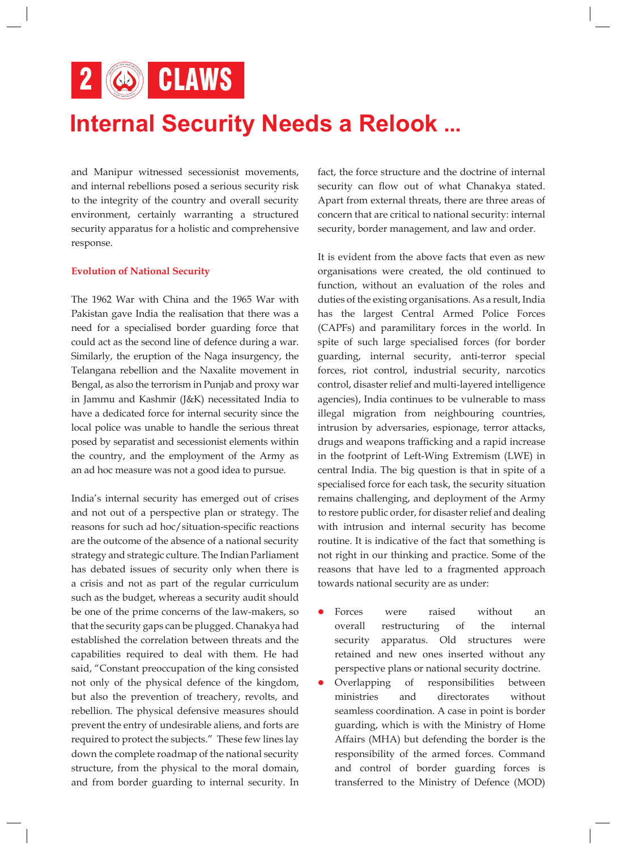2 **6** CLAWS

## **Internal Security Needs a Relook ...**

and Manipur witnessed secessionist movements, and internal rebellions posed a serious security risk to the integrity of the country and overall security environment, certainly warranting a structured security apparatus for a holistic and comprehensive response.

#### **Evolution of National Security**

The 1962 War with China and the 1965 War with Pakistan gave India the realisation that there was a need for a specialised border guarding force that could act as the second line of defence during a war. Similarly, the eruption of the Naga insurgency, the Telangana rebellion and the Naxalite movement in Bengal, as also the terrorism in Punjab and proxy war in Jammu and Kashmir (J&K) necessitated India to have a dedicated force for internal security since the local police was unable to handle the serious threat posed by separatist and secessionist elements within the country, and the employment of the Army as an ad hoc measure was not a good idea to pursue.

India's internal security has emerged out of crises and not out of a perspective plan or strategy. The reasons for such ad hoc/situation-specific reactions are the outcome of the absence of a national security strategy and strategic culture. The Indian Parliament has debated issues of security only when there is a crisis and not as part of the regular curriculum such as the budget, whereas a security audit should be one of the prime concerns of the law-makers, so that the security gaps can be plugged. Chanakya had established the correlation between threats and the capabilities required to deal with them. He had said, "Constant preoccupation of the king consisted not only of the physical defence of the kingdom, but also the prevention of treachery, revolts, and rebellion. The physical defensive measures should prevent the entry of undesirable aliens, and forts are required to protect the subjects." These few lines lay down the complete roadmap of the national security structure, from the physical to the moral domain, and from border guarding to internal security. In fact, the force structure and the doctrine of internal security can flow out of what Chanakya stated. Apart from external threats, there are three areas of concern that are critical to national security: internal security, border management, and law and order.

It is evident from the above facts that even as new organisations were created, the old continued to function, without an evaluation of the roles and duties of the existing organisations. As a result, India has the largest Central Armed Police Forces (CAPFs) and paramilitary forces in the world. In spite of such large specialised forces (for border guarding, internal security, anti-terror special forces, riot control, industrial security, narcotics control, disaster relief and multi-layered intelligence agencies), India continues to be vulnerable to mass illegal migration from neighbouring countries, intrusion by adversaries, espionage, terror attacks, drugs and weapons trafficking and a rapid increase in the footprint of Left-Wing Extremism (LWE) in central India. The big question is that in spite of a specialised force for each task, the security situation remains challenging, and deployment of the Army to restore public order, for disaster relief and dealing with intrusion and internal security has become routine. It is indicative of the fact that something is not right in our thinking and practice. Some of the reasons that have led to a fragmented approach towards national security are as under:

- Forces were raised without an overall restructuring of the internal security apparatus. Old structures were retained and new ones inserted without any perspective plans or national security doctrine.
- l Overlapping of responsibilities between ministries and directorates without seamless coordination. A case in point is border guarding, which is with the Ministry of Home Affairs (MHA) but defending the border is the responsibility of the armed forces. Command and control of border guarding forces is transferred to the Ministry of Defence (MOD)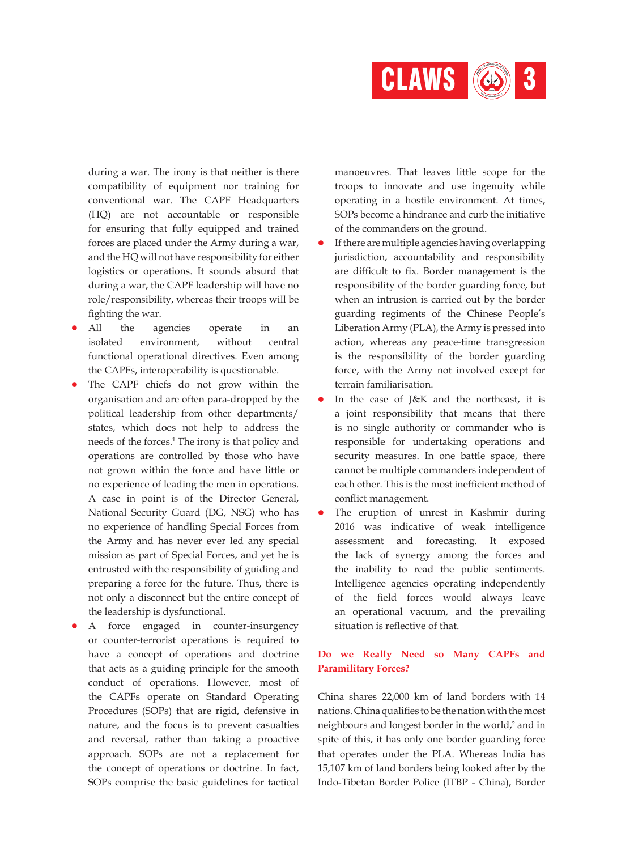

during a war. The irony is that neither is there compatibility of equipment nor training for conventional war. The CAPF Headquarters (HQ) are not accountable or responsible for ensuring that fully equipped and trained forces are placed under the Army during a war, and the HQ will not have responsibility for either logistics or operations. It sounds absurd that during a war, the CAPF leadership will have no role/responsibility, whereas their troops will be fighting the war.

- All the agencies operate in an isolated environment, without central functional operational directives. Even among the CAPFs, interoperability is questionable.
- The CAPF chiefs do not grow within the organisation and are often para-dropped by the political leadership from other departments/ states, which does not help to address the needs of the forces.<sup>1</sup> The irony is that policy and operations are controlled by those who have not grown within the force and have little or no experience of leading the men in operations. A case in point is of the Director General, National Security Guard (DG, NSG) who has no experience of handling Special Forces from the Army and has never ever led any special mission as part of Special Forces, and yet he is entrusted with the responsibility of guiding and preparing a force for the future. Thus, there is not only a disconnect but the entire concept of the leadership is dysfunctional.
- A force engaged in counter-insurgency or counter-terrorist operations is required to have a concept of operations and doctrine that acts as a guiding principle for the smooth conduct of operations. However, most of the CAPFs operate on Standard Operating Procedures (SOPs) that are rigid, defensive in nature, and the focus is to prevent casualties and reversal, rather than taking a proactive approach. SOPs are not a replacement for the concept of operations or doctrine. In fact, SOPs comprise the basic guidelines for tactical

manoeuvres. That leaves little scope for the troops to innovate and use ingenuity while operating in a hostile environment. At times, SOPs become a hindrance and curb the initiative of the commanders on the ground.

- If there are multiple agencies having overlapping jurisdiction, accountability and responsibility are difficult to fix. Border management is the responsibility of the border guarding force, but when an intrusion is carried out by the border guarding regiments of the Chinese People's Liberation Army (PLA), the Army is pressed into action, whereas any peace-time transgression is the responsibility of the border guarding force, with the Army not involved except for terrain familiarisation.
- In the case of J&K and the northeast, it is a joint responsibility that means that there is no single authority or commander who is responsible for undertaking operations and security measures. In one battle space, there cannot be multiple commanders independent of each other. This is the most inefficient method of conflict management.
- The eruption of unrest in Kashmir during 2016 was indicative of weak intelligence assessment and forecasting. It exposed the lack of synergy among the forces and the inability to read the public sentiments. Intelligence agencies operating independently of the field forces would always leave an operational vacuum, and the prevailing situation is reflective of that.

#### **Do we Really Need so Many CAPFs and Paramilitary Forces?**

China shares 22,000 km of land borders with 14 nations. China qualifies to be the nation with the most neighbours and longest border in the world,<sup>2</sup> and in spite of this, it has only one border guarding force that operates under the PLA. Whereas India has 15,107 km of land borders being looked after by the Indo-Tibetan Border Police (ITBP - China), Border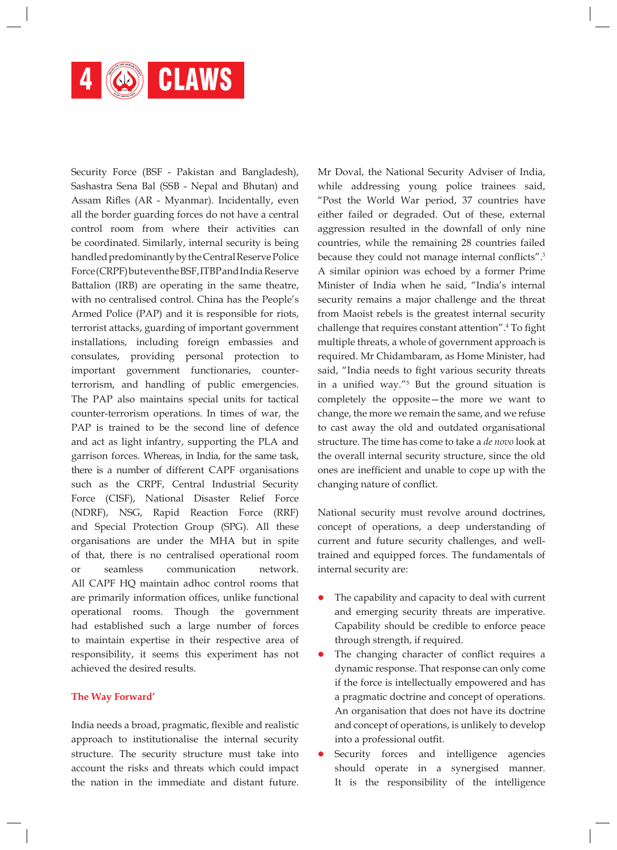

Security Force (BSF - Pakistan and Bangladesh), Sashastra Sena Bal (SSB - Nepal and Bhutan) and Assam Rifles (AR - Myanmar). Incidentally, even all the border guarding forces do not have a central control room from where their activities can be coordinated. Similarly, internal security is being handled predominantly by the Central Reserve Police Force (CRPF)but eventhe BSF,ITBPand India Reserve Battalion (IRB) are operating in the same theatre, with no centralised control. China has the People's Armed Police (PAP) and it is responsible for riots, terrorist attacks, guarding of important government installations, including foreign embassies and consulates, providing personal protection to important government functionaries, counterterrorism, and handling of public emergencies. The PAP also maintains special units for tactical counter-terrorism operations. In times of war, the PAP is trained to be the second line of defence and act as light infantry, supporting the PLA and garrison forces. Whereas, in India, for the same task, there is a number of different CAPF organisations such as the CRPF, Central Industrial Security Force (CISF), National Disaster Relief Force (NDRF), NSG, Rapid Reaction Force (RRF) and Special Protection Group (SPG). All these organisations are under the MHA but in spite of that, there is no centralised operational room or seamless communication network. All CAPF HQ maintain adhoc control rooms that are primarily information offices, unlike functional operational rooms. Though the government had established such a large number of forces to maintain expertise in their respective area of responsibility, it seems this experiment has not achieved the desired results.

#### **The Way Forward'**

India needs a broad, pragmatic, flexible and realistic approach to institutionalise the internal security structure. The security structure must take into account the risks and threats which could impact the nation in the immediate and distant future. Mr Doval, the National Security Adviser of India, while addressing young police trainees said, "Post the World War period, 37 countries have either failed or degraded. Out of these, external aggression resulted in the downfall of only nine countries, while the remaining 28 countries failed because they could not manage internal conflicts".<sup>3</sup> A similar opinion was echoed by a former Prime Minister of India when he said, "India's internal security remains a major challenge and the threat from Maoist rebels is the greatest internal security challenge that requires constant attention".4 To fight multiple threats, a whole of government approach is required. Mr Chidambaram, as Home Minister, had said, "India needs to fight various security threats in a unified way."<sup>5</sup> But the ground situation is completely the opposite—the more we want to change, the more we remain the same, and we refuse to cast away the old and outdated organisational structure. The time has come to take a *de novo* look at the overall internal security structure, since the old ones are inefficient and unable to cope up with the changing nature of conflict.

National security must revolve around doctrines, concept of operations, a deep understanding of current and future security challenges, and welltrained and equipped forces. The fundamentals of internal security are:

- The capability and capacity to deal with current and emerging security threats are imperative. Capability should be credible to enforce peace through strength, if required.
- The changing character of conflict requires a dynamic response. That response can only come if the force is intellectually empowered and has a pragmatic doctrine and concept of operations. An organisation that does not have its doctrine and concept of operations, is unlikely to develop into a professional outfit.
- Security forces and intelligence agencies should operate in a synergised manner. It is the responsibility of the intelligence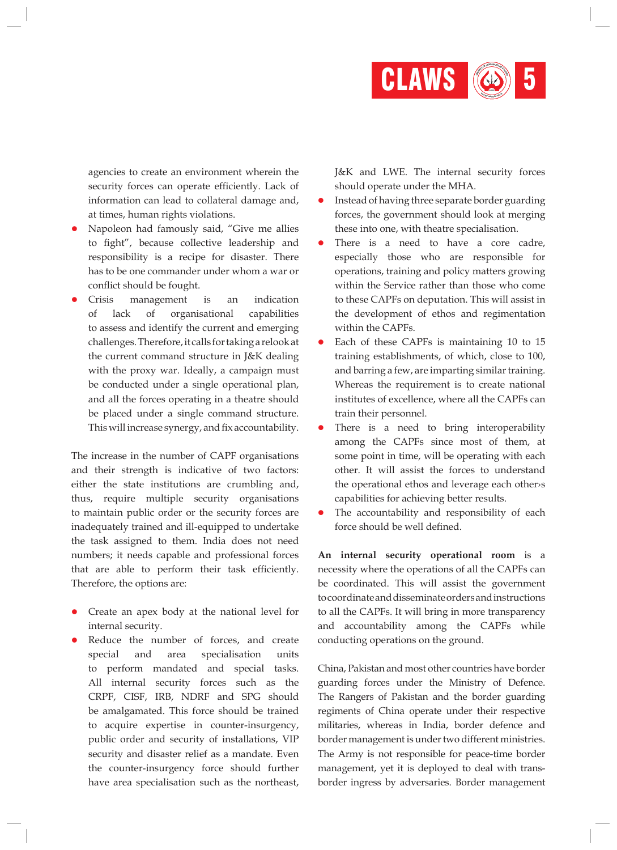

agencies to create an environment wherein the security forces can operate efficiently. Lack of information can lead to collateral damage and, at times, human rights violations.

- l Napoleon had famously said, "Give me allies to fight", because collective leadership and responsibility is a recipe for disaster. There has to be one commander under whom a war or conflict should be fought.
- l Crisis management is an indication of lack of organisational capabilities to assess and identify the current and emerging challenges. Therefore, it calls for taking arelookat the current command structure in J&K dealing with the proxy war. Ideally, a campaign must be conducted under a single operational plan, and all the forces operating in a theatre should be placed under a single command structure. This will increase synergy, and fix accountability.

The increase in the number of CAPF organisations and their strength is indicative of two factors: either the state institutions are crumbling and, thus, require multiple security organisations to maintain public order or the security forces are inadequately trained and ill-equipped to undertake the task assigned to them. India does not need numbers; it needs capable and professional forces that are able to perform their task efficiently. Therefore, the options are:

- l Create an apex body at the national level for internal security.
- l Reduce the number of forces, and create special and area specialisation units to perform mandated and special tasks. All internal security forces such as the CRPF, CISF, IRB, NDRF and SPG should be amalgamated. This force should be trained to acquire expertise in counter-insurgency, public order and security of installations, VIP security and disaster relief as a mandate. Even the counter-insurgency force should further have area specialisation such as the northeast,

J&K and LWE. The internal security forces should operate under the MHA.

- **Instead of having three separate border guarding** forces, the government should look at merging these into one, with theatre specialisation.
- **•** There is a need to have a core cadre, especially those who are responsible for operations, training and policy matters growing within the Service rather than those who come to these CAPFs on deputation. This will assist in the development of ethos and regimentation within the CAPFs.
- Each of these CAPFs is maintaining 10 to 15 training establishments, of which, close to 100, and barring a few, are imparting similar training. Whereas the requirement is to create national institutes of excellence, where all the CAPFs can train their personnel.
- There is a need to bring interoperability among the CAPFs since most of them, at some point in time, will be operating with each other. It will assist the forces to understand the operational ethos and leverage each other›s capabilities for achieving better results.
- The accountability and responsibility of each force should be well defined.

**An internal security operational room** is a necessity where the operations of all the CAPFs can be coordinated. This will assist the government tocoordinateanddisseminateorders and instructions to all the CAPFs. It will bring in more transparency and accountability among the CAPFs while conducting operations on the ground.

China, Pakistan and most other countries have border guarding forces under the Ministry of Defence. The Rangers of Pakistan and the border guarding regiments of China operate under their respective militaries, whereas in India, border defence and border management is under two different ministries. The Army is not responsible for peace-time border management, yet it is deployed to deal with transborder ingress by adversaries. Border management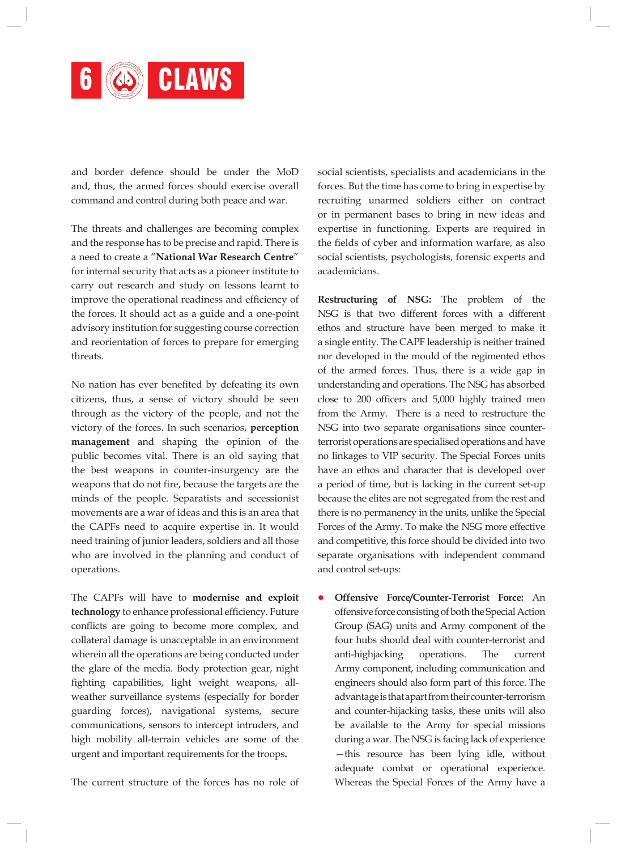

and border defence should be under the MoD and, thus, the armed forces should exercise overall command and control during both peace and war.

The threats and challenges are becoming complex and the response has to be precise and rapid. There is a need to create a "**National War Research Centre**" for internal security that acts as a pioneer institute to carry out research and study on lessons learnt to improve the operational readiness and efficiency of the forces. It should act as a guide and a one-point advisory institution for suggesting course correction and reorientation of forces to prepare for emerging threats.

No nation has ever benefited by defeating its own citizens, thus, a sense of victory should be seen through as the victory of the people, and not the victory of the forces. In such scenarios, **perception management** and shaping the opinion of the public becomes vital. There is an old saying that the best weapons in counter-insurgency are the weapons that do not fire, because the targets are the minds of the people. Separatists and secessionist movements are a war of ideas and this is an area that the CAPFs need to acquire expertise in. It would need training of junior leaders, soldiers and all those who are involved in the planning and conduct of operations.

The CAPFs will have to **modernise and exploit technology** to enhance professional efficiency. Future conflicts are going to become more complex, and collateral damage is unacceptable in an environment wherein all the operations are being conducted under the glare of the media. Body protection gear, night fighting capabilities, light weight weapons, allweather surveillance systems (especially for border guarding forces), navigational systems, secure communications, sensors to intercept intruders, and high mobility all-terrain vehicles are some of the urgent and important requirements for the troops**.**

The current structure of the forces has no role of

social scientists, specialists and academicians in the forces. But the time has come to bring in expertise by recruiting unarmed soldiers either on contract or in permanent bases to bring in new ideas and expertise in functioning. Experts are required in the fields of cyber and information warfare, as also social scientists, psychologists, forensic experts and academicians.

**Restructuring of NSG:** The problem of the NSG is that two different forces with a different ethos and structure have been merged to make it a single entity. The CAPF leadership is neither trained nor developed in the mould of the regimented ethos of the armed forces. Thus, there is a wide gap in understanding and operations. The NSG has absorbed close to 200 officers and 5,000 highly trained men from the Army. There is a need to restructure the NSG into two separate organisations since counterterrorist operations are specialised operations and have no linkages to VIP security. The Special Forces units have an ethos and character that is developed over a period of time, but is lacking in the current set-up because the elites are not segregated from the rest and there is no permanency in the units, unlike the Special Forces of the Army. To make the NSG more effective and competitive, this force should be divided into two separate organisations with independent command and control set-ups:

l **Offensive Force/Counter-Terrorist Force:** An offensive force consisting of both the Special Action Group (SAG) units and Army component of the four hubs should deal with counter-terrorist and anti-highjacking operations. The current Army component, including communication and engineers should also form part of this force. The advantage is that apart from their counter-terrorism and counter-hijacking tasks, these units will also be available to the Army for special missions during a war. The NSG is facing lack of experience —this resource has been lying idle, without adequate combat or operational experience. Whereas the Special Forces of the Army have a